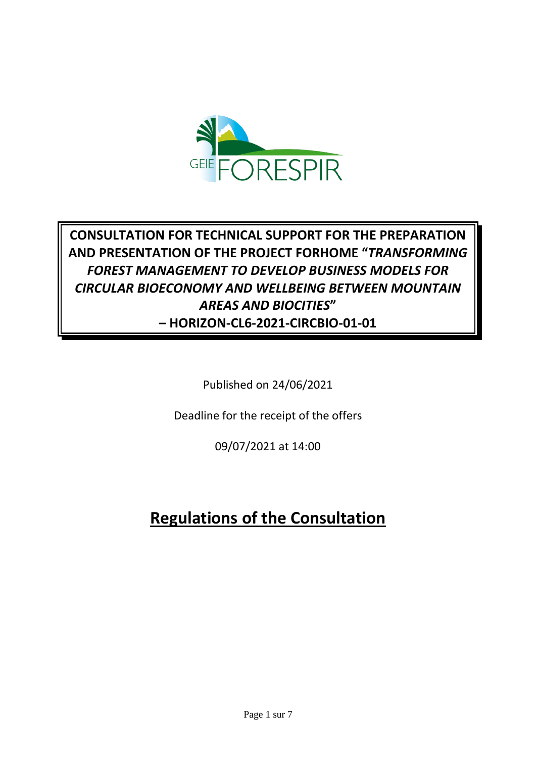

# **CONSULTATION FOR TECHNICAL SUPPORT FOR THE PREPARATION AND PRESENTATION OF THE PROJECT FORHOME "***TRANSFORMING FOREST MANAGEMENT TO DEVELOP BUSINESS MODELS FOR CIRCULAR BIOECONOMY AND WELLBEING BETWEEN MOUNTAIN AREAS AND BIOCITIES***" – HORIZON-CL6-2021-CIRCBIO-01-01**

Published on 24/06/2021

Deadline for the receipt of the offers

09/07/2021 at 14:00

# **Regulations of the Consultation**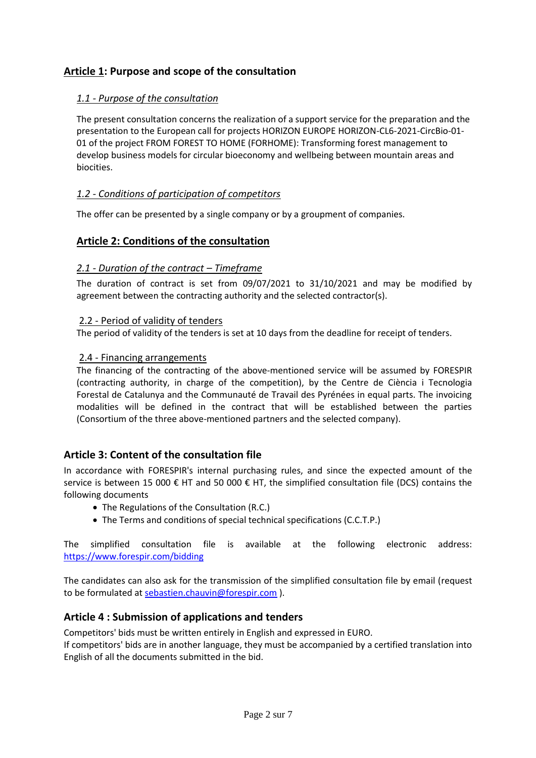# **Article 1: Purpose and scope of the consultation**

# *1.1 - Purpose of the consultation*

The present consultation concerns the realization of a support service for the preparation and the presentation to the European call for projects HORIZON EUROPE HORIZON-CL6-2021-CircBio-01- 01 of the project FROM FOREST TO HOME (FORHOME): Transforming forest management to develop business models for circular bioeconomy and wellbeing between mountain areas and biocities.

## *1.2 - Conditions of participation of competitors*

The offer can be presented by a single company or by a groupment of companies.

## **Article 2: Conditions of the consultation**

#### *2.1 - Duration of the contract – Timeframe*

The duration of contract is set from 09/07/2021 to 31/10/2021 and may be modified by agreement between the contracting authority and the selected contractor(s).

#### 2.2 - Period of validity of tenders

The period of validity of the tenders is set at 10 days from the deadline for receipt of tenders.

#### 2.4 - Financing arrangements

The financing of the contracting of the above-mentioned service will be assumed by FORESPIR (contracting authority, in charge of the competition), by the Centre de Ciència i Tecnologia Forestal de Catalunya and the Communauté de Travail des Pyrénées in equal parts. The invoicing modalities will be defined in the contract that will be established between the parties (Consortium of the three above-mentioned partners and the selected company).

# **Article 3: Content of the consultation file**

In accordance with FORESPIR's internal purchasing rules, and since the expected amount of the service is between 15 000 € HT and 50 000 € HT, the simplified consultation file (DCS) contains the following documents

- The Regulations of the Consultation (R.C.)
- The Terms and conditions of special technical specifications (C.C.T.P.)

The simplified consultation file is available at the following electronic address: <https://www.forespir.com/bidding>

The candidates can also ask for the transmission of the simplified consultation file by email (request to be formulated at [sebastien.chauvin@forespir.com](mailto:sebastien.chauvin@forespir.com) ).

#### **Article 4 : Submission of applications and tenders**

Competitors' bids must be written entirely in English and expressed in EURO.

If competitors' bids are in another language, they must be accompanied by a certified translation into English of all the documents submitted in the bid.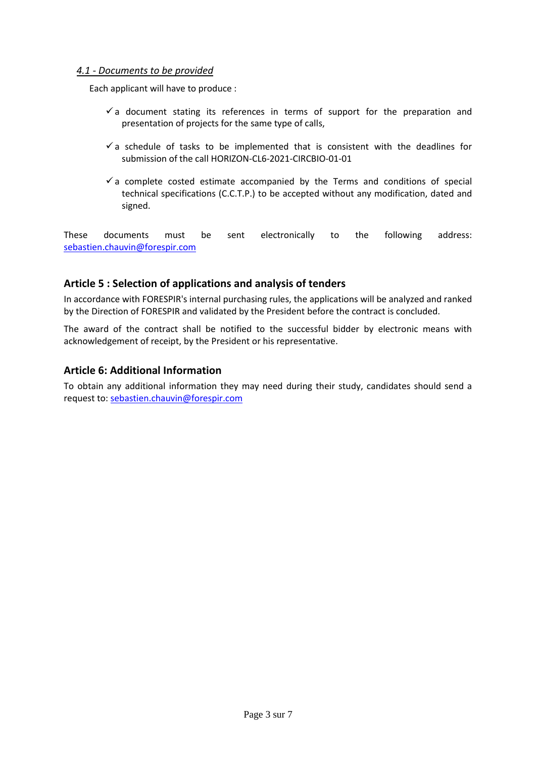#### *4.1 - Documents to be provided*

Each applicant will have to produce :

- $\checkmark$  a document stating its references in terms of support for the preparation and presentation of projects for the same type of calls,
- $\checkmark$  a schedule of tasks to be implemented that is consistent with the deadlines for submission of the call HORIZON-CL6-2021-CIRCBIO-01-01
- $\checkmark$  a complete costed estimate accompanied by the Terms and conditions of special technical specifications (C.C.T.P.) to be accepted without any modification, dated and signed.

These documents must be sent electronically to the following address: [sebastien.chauvin@forespir.com](mailto:sebastien.chauvin@forespir.com)

## **Article 5 : Selection of applications and analysis of tenders**

In accordance with FORESPIR's internal purchasing rules, the applications will be analyzed and ranked by the Direction of FORESPIR and validated by the President before the contract is concluded.

The award of the contract shall be notified to the successful bidder by electronic means with acknowledgement of receipt, by the President or his representative.

## **Article 6: Additional Information**

To obtain any additional information they may need during their study, candidates should send a request to[: sebastien.chauvin@forespir.com](mailto:sebastien.chauvin@forespir.com)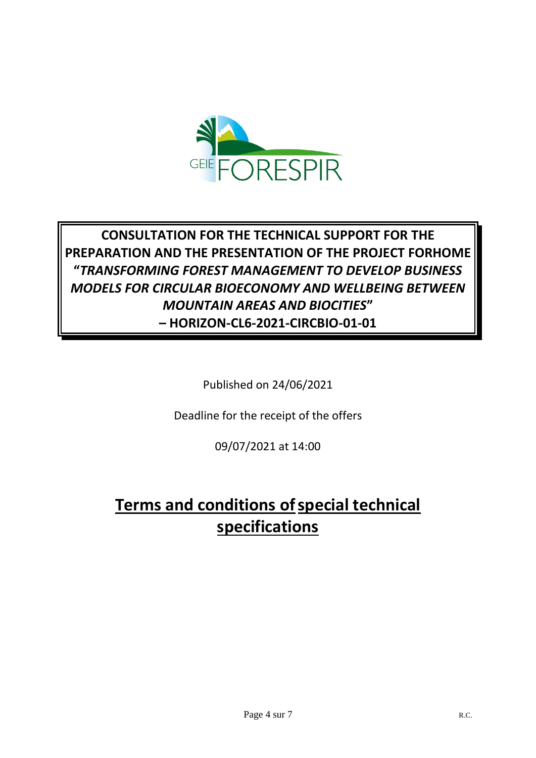

# **CONSULTATION FOR THE TECHNICAL SUPPORT FOR THE PREPARATION AND THE PRESENTATION OF THE PROJECT FORHOME "***TRANSFORMING FOREST MANAGEMENT TO DEVELOP BUSINESS MODELS FOR CIRCULAR BIOECONOMY AND WELLBEING BETWEEN MOUNTAIN AREAS AND BIOCITIES***" – HORIZON-CL6-2021-CIRCBIO-01-01**

Published on 24/06/2021

Deadline for the receipt of the offers

09/07/2021 at 14:00

# **Terms and conditions of special technical specifications**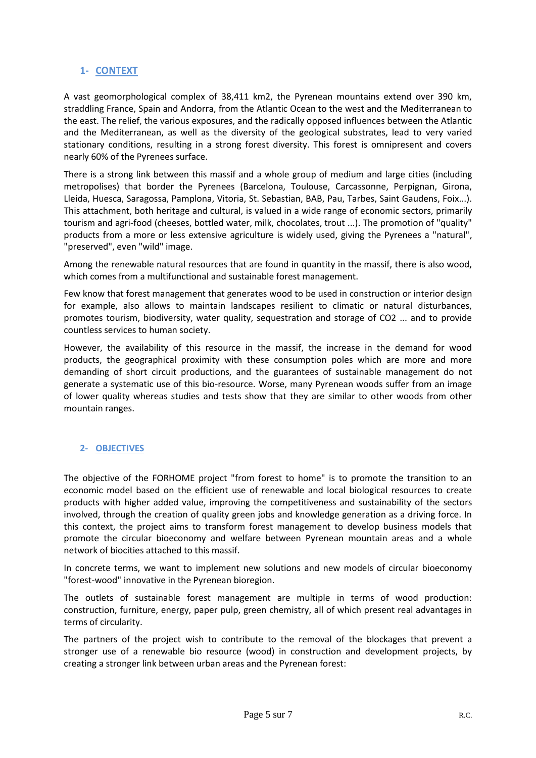## **1- CONTEXT**

A vast geomorphological complex of 38,411 km2, the Pyrenean mountains extend over 390 km, straddling France, Spain and Andorra, from the Atlantic Ocean to the west and the Mediterranean to the east. The relief, the various exposures, and the radically opposed influences between the Atlantic and the Mediterranean, as well as the diversity of the geological substrates, lead to very varied stationary conditions, resulting in a strong forest diversity. This forest is omnipresent and covers nearly 60% of the Pyrenees surface.

There is a strong link between this massif and a whole group of medium and large cities (including metropolises) that border the Pyrenees (Barcelona, Toulouse, Carcassonne, Perpignan, Girona, Lleida, Huesca, Saragossa, Pamplona, Vitoria, St. Sebastian, BAB, Pau, Tarbes, Saint Gaudens, Foix...). This attachment, both heritage and cultural, is valued in a wide range of economic sectors, primarily tourism and agri-food (cheeses, bottled water, milk, chocolates, trout ...). The promotion of "quality" products from a more or less extensive agriculture is widely used, giving the Pyrenees a "natural", "preserved", even "wild" image.

Among the renewable natural resources that are found in quantity in the massif, there is also wood, which comes from a multifunctional and sustainable forest management.

Few know that forest management that generates wood to be used in construction or interior design for example, also allows to maintain landscapes resilient to climatic or natural disturbances, promotes tourism, biodiversity, water quality, sequestration and storage of CO2 ... and to provide countless services to human society.

However, the availability of this resource in the massif, the increase in the demand for wood products, the geographical proximity with these consumption poles which are more and more demanding of short circuit productions, and the guarantees of sustainable management do not generate a systematic use of this bio-resource. Worse, many Pyrenean woods suffer from an image of lower quality whereas studies and tests show that they are similar to other woods from other mountain ranges.

# **2- OBJECTIVES**

The objective of the FORHOME project "from forest to home" is to promote the transition to an economic model based on the efficient use of renewable and local biological resources to create products with higher added value, improving the competitiveness and sustainability of the sectors involved, through the creation of quality green jobs and knowledge generation as a driving force. In this context, the project aims to transform forest management to develop business models that promote the circular bioeconomy and welfare between Pyrenean mountain areas and a whole network of biocities attached to this massif.

In concrete terms, we want to implement new solutions and new models of circular bioeconomy "forest-wood" innovative in the Pyrenean bioregion.

The outlets of sustainable forest management are multiple in terms of wood production: construction, furniture, energy, paper pulp, green chemistry, all of which present real advantages in terms of circularity.

The partners of the project wish to contribute to the removal of the blockages that prevent a stronger use of a renewable bio resource (wood) in construction and development projects, by creating a stronger link between urban areas and the Pyrenean forest: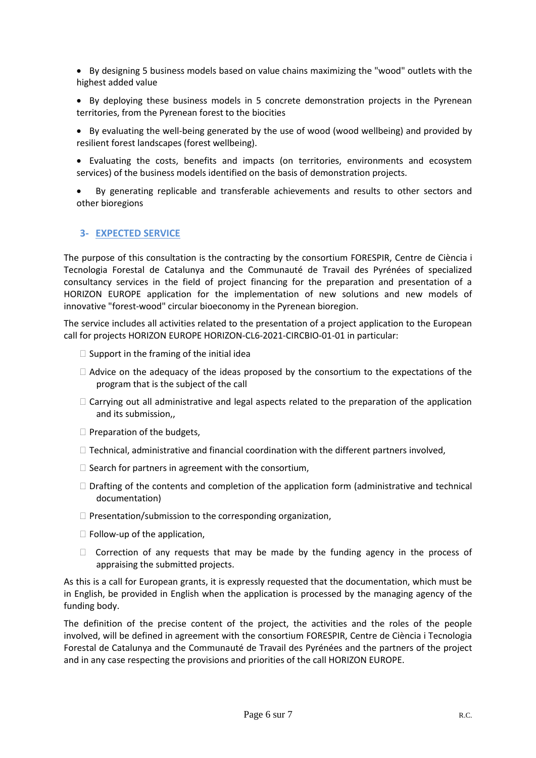- By designing 5 business models based on value chains maximizing the "wood" outlets with the highest added value
- By deploying these business models in 5 concrete demonstration projects in the Pyrenean territories, from the Pyrenean forest to the biocities
- By evaluating the well-being generated by the use of wood (wood wellbeing) and provided by resilient forest landscapes (forest wellbeing).
- Evaluating the costs, benefits and impacts (on territories, environments and ecosystem services) of the business models identified on the basis of demonstration projects.
- By generating replicable and transferable achievements and results to other sectors and other bioregions

#### **3- EXPECTED SERVICE**

The purpose of this consultation is the contracting by the consortium FORESPIR, Centre de Ciència i Tecnologia Forestal de Catalunya and the Communauté de Travail des Pyrénées of specialized consultancy services in the field of project financing for the preparation and presentation of a HORIZON EUROPE application for the implementation of new solutions and new models of innovative "forest-wood" circular bioeconomy in the Pyrenean bioregion.

The service includes all activities related to the presentation of a project application to the European call for projects HORIZON EUROPE HORIZON-CL6-2021-CIRCBIO-01-01 in particular:

- $\Box$  Support in the framing of the initial idea
- $\Box$  Advice on the adequacy of the ideas proposed by the consortium to the expectations of the program that is the subject of the call
- $\Box$  Carrying out all administrative and legal aspects related to the preparation of the application and its submission,,
- $\Box$  Preparation of the budgets,
- $\Box$  Technical, administrative and financial coordination with the different partners involved,
- $\Box$  Search for partners in agreement with the consortium,
- $\Box$  Drafting of the contents and completion of the application form (administrative and technical documentation)
- $\Box$  Presentation/submission to the corresponding organization,
- $\Box$  Follow-up of the application,
- $\Box$  Correction of any requests that may be made by the funding agency in the process of appraising the submitted projects.

As this is a call for European grants, it is expressly requested that the documentation, which must be in English, be provided in English when the application is processed by the managing agency of the funding body.

The definition of the precise content of the project, the activities and the roles of the people involved, will be defined in agreement with the consortium FORESPIR, Centre de Ciència i Tecnologia Forestal de Catalunya and the Communauté de Travail des Pyrénées and the partners of the project and in any case respecting the provisions and priorities of the call HORIZON EUROPE.